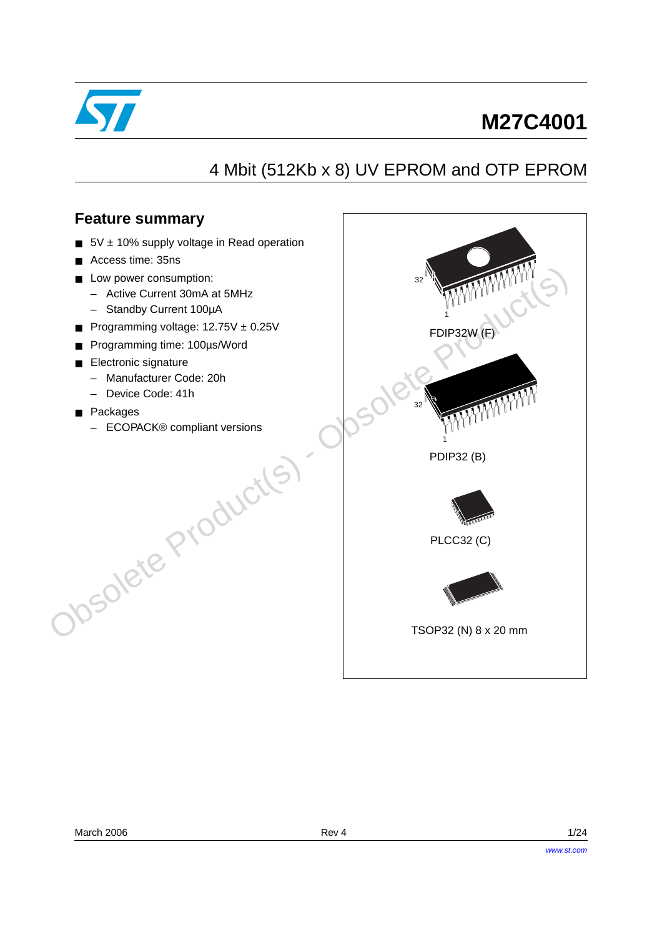

# **M27C4001**

# 4 Mbit (512Kb x 8) UV EPROM and OTP EPROM

### **Feature summary**

- 5V ± 10% supply voltage in Read operation
- Access time: 35ns
- Low power consumption:
	- Active Current 30mA at 5MHz
	- Standby Current 100µA
- Programming voltage: 12.75V ± 0.25V
- Programming time: 100µs/Word
- Electronic signature
	- Manufacturer Code: 20h
	- Device Code: 41h
- Packages
- ECOPACK® compliant versions Josolete Product(s)

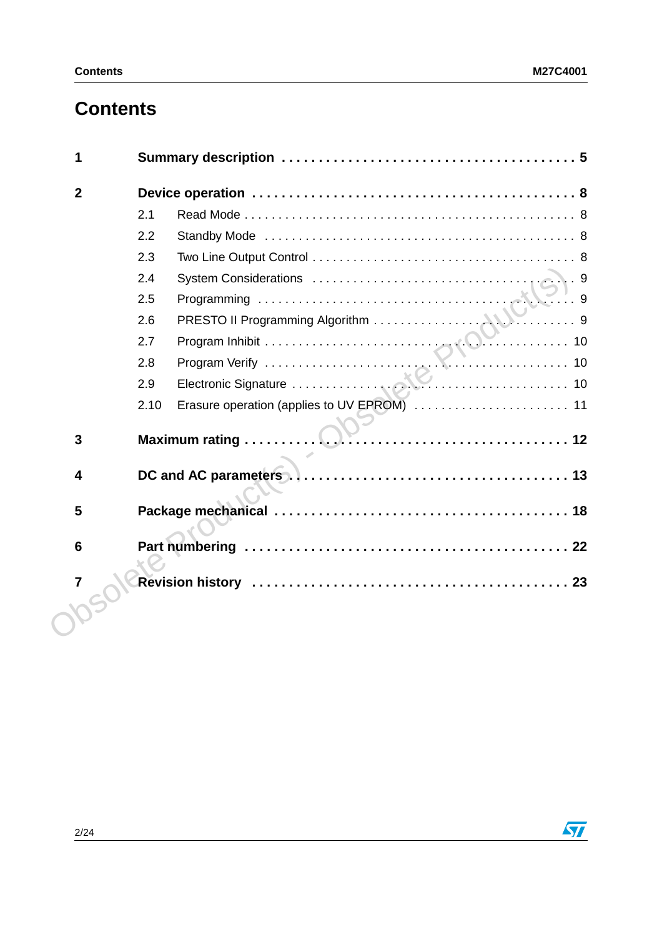# **Contents**

| $\mathbf{2}$    |                                                     |
|-----------------|-----------------------------------------------------|
|                 | 2.1                                                 |
|                 | 2.2                                                 |
|                 | 2.3                                                 |
|                 | 2.4                                                 |
|                 | 2.5                                                 |
|                 | 2.6                                                 |
|                 | 2.7                                                 |
|                 | 2.8                                                 |
|                 | 2.9                                                 |
|                 | Erasure operation (applies to UV EPROM)  11<br>2.10 |
| $\mathbf{3}$    |                                                     |
| 4               |                                                     |
| 5               |                                                     |
| $6\phantom{1}6$ |                                                     |
| $\overline{7}$  |                                                     |
|                 |                                                     |
|                 |                                                     |

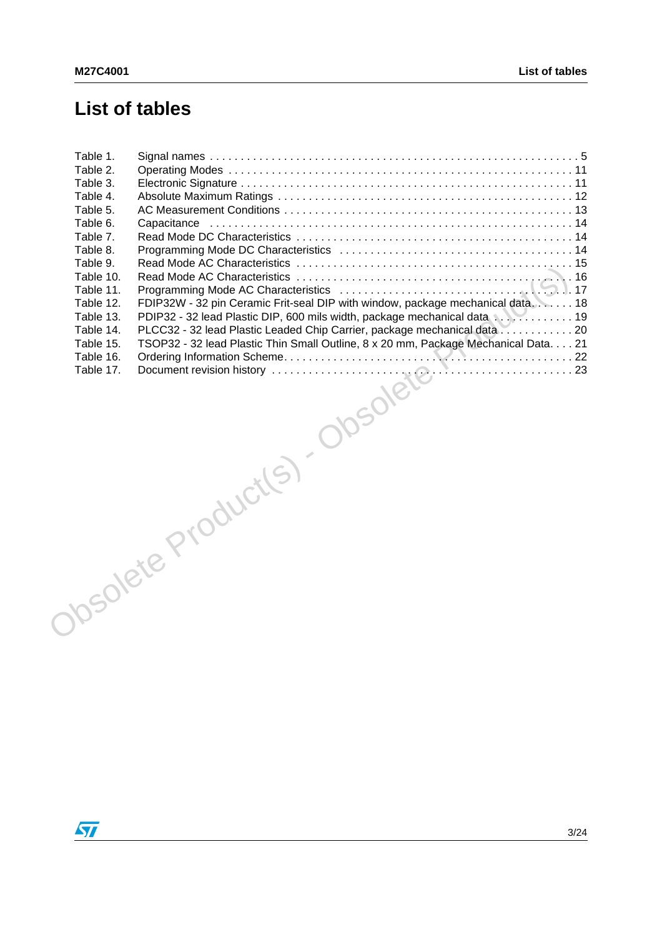# **List of tables**

| Table 1. |                                                                                                                                                                                                                                                                                                                                                                                                                                                                                                                                                                                 |  |
|----------|---------------------------------------------------------------------------------------------------------------------------------------------------------------------------------------------------------------------------------------------------------------------------------------------------------------------------------------------------------------------------------------------------------------------------------------------------------------------------------------------------------------------------------------------------------------------------------|--|
| Table 2. |                                                                                                                                                                                                                                                                                                                                                                                                                                                                                                                                                                                 |  |
| Table 3. |                                                                                                                                                                                                                                                                                                                                                                                                                                                                                                                                                                                 |  |
|          |                                                                                                                                                                                                                                                                                                                                                                                                                                                                                                                                                                                 |  |
|          |                                                                                                                                                                                                                                                                                                                                                                                                                                                                                                                                                                                 |  |
|          |                                                                                                                                                                                                                                                                                                                                                                                                                                                                                                                                                                                 |  |
|          |                                                                                                                                                                                                                                                                                                                                                                                                                                                                                                                                                                                 |  |
|          |                                                                                                                                                                                                                                                                                                                                                                                                                                                                                                                                                                                 |  |
|          |                                                                                                                                                                                                                                                                                                                                                                                                                                                                                                                                                                                 |  |
|          |                                                                                                                                                                                                                                                                                                                                                                                                                                                                                                                                                                                 |  |
|          |                                                                                                                                                                                                                                                                                                                                                                                                                                                                                                                                                                                 |  |
|          |                                                                                                                                                                                                                                                                                                                                                                                                                                                                                                                                                                                 |  |
|          |                                                                                                                                                                                                                                                                                                                                                                                                                                                                                                                                                                                 |  |
|          |                                                                                                                                                                                                                                                                                                                                                                                                                                                                                                                                                                                 |  |
|          |                                                                                                                                                                                                                                                                                                                                                                                                                                                                                                                                                                                 |  |
|          |                                                                                                                                                                                                                                                                                                                                                                                                                                                                                                                                                                                 |  |
|          |                                                                                                                                                                                                                                                                                                                                                                                                                                                                                                                                                                                 |  |
|          |                                                                                                                                                                                                                                                                                                                                                                                                                                                                                                                                                                                 |  |
|          | $\begin{array}{c}\n\hline\n\text{and refines in the image.}\n\end{array}\n\left.\begin{array}{c}\n\hline\n\text{and refines in the image.}\n\end{array}\right.\n\left.\begin{array}{c}\n\hline\n\text{and refines in the image.}\n\end{array}\right.\n\left.\begin{array}{c}\n\hline\n\text{and left to the image.}\n\end{array}\right.\n\left.\begin{array}{c}\n\hline\n\text{and right to the image.}\n\end{array}\right.\n\left.\begin{array}{c}\n\hline\n\text{and right to the image.}\n\end{array}\right.\n\left.\begin{array}{c}\n\hline\n\text{and right to the image.$ |  |
|          |                                                                                                                                                                                                                                                                                                                                                                                                                                                                                                                                                                                 |  |

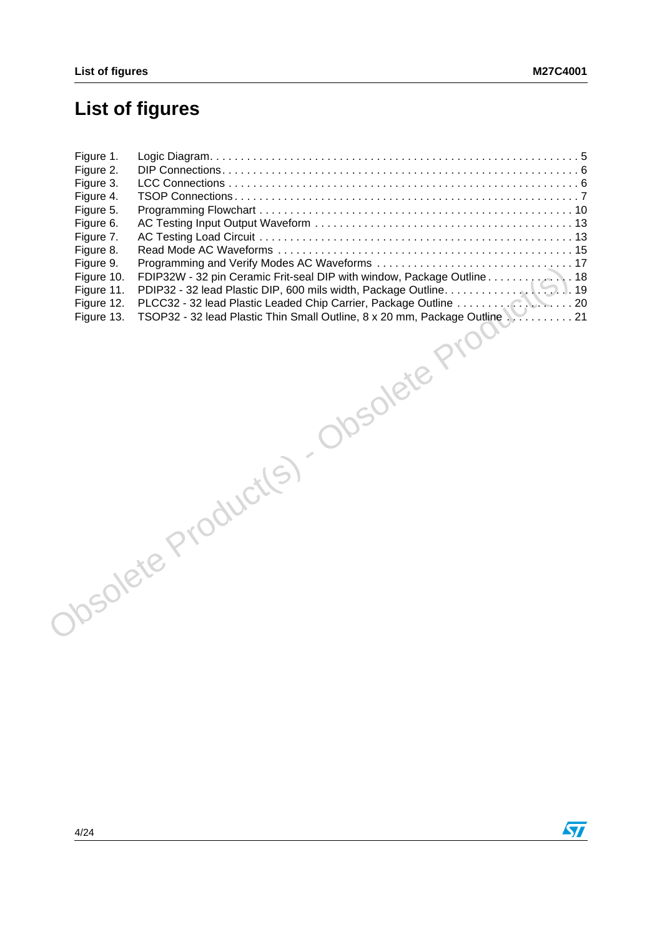# **List of figures**

| Figure 1.<br>Figure 2.<br>Figure 3.<br>Figure 4.<br>Figure 5.<br>Figure 6.<br>Figure 7.<br>Figure 8.<br>Figure 9.<br>Figure 10.<br>Figure 11.<br>Figure 12. |                                                                                                                                                                                        |  |
|-------------------------------------------------------------------------------------------------------------------------------------------------------------|----------------------------------------------------------------------------------------------------------------------------------------------------------------------------------------|--|
|                                                                                                                                                             | PLCC32 - 32 lead Plastic Leaded Chip Carrier, Package Outline 20<br>TSOP32 - 32 lead Plastic Thin Small Outline, 8 x 20 mm, Package Outline 21<br>Obsolete Product(s) Obsolete Product |  |
|                                                                                                                                                             |                                                                                                                                                                                        |  |

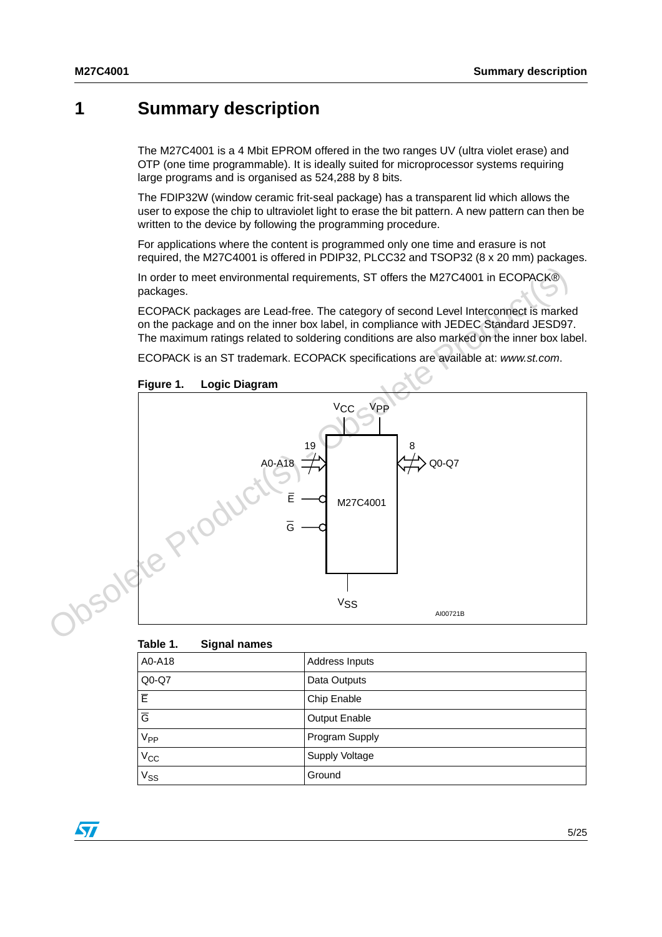## <span id="page-4-0"></span>**1 Summary description**

The M27C4001 is a 4 Mbit EPROM offered in the two ranges UV (ultra violet erase) and OTP (one time programmable). It is ideally suited for microprocessor systems requiring large programs and is organised as 524,288 by 8 bits.

The FDIP32W (window ceramic frit-seal package) has a transparent lid which allows the user to expose the chip to ultraviolet light to erase the bit pattern. A new pattern can then be written to the device by following the programming procedure.

For applications where the content is programmed only one time and erasure is not required, the M27C4001 is offered in PDIP32, PLCC32 and TSOP32 (8 x 20 mm) packages.

In order to meet environmental requirements, ST offers the M27C4001 in ECOPACK® packages.

ECOPACK packages are Lead-free. The category of second Level Interconnect is marked on the package and on the inner box label, in compliance with JEDEC Standard JESD97. The maximum ratings related to soldering conditions are also marked on the inner box label.

<span id="page-4-2"></span>ECOPACK is an ST trademark. ECOPACK specifications are available at: www.st.com.



<span id="page-4-1"></span>

| Table 1.        | <b>Signal names</b> |                |
|-----------------|---------------------|----------------|
| A0-A18          |                     | Address Inputs |
| $Q0-Q7$         |                     | Data Outputs   |
| E               |                     | Chip Enable    |
| $\overline{G}$  |                     | Output Enable  |
| V <sub>PP</sub> |                     | Program Supply |
| $V_{CC}$        |                     | Supply Voltage |
| $V_{SS}$        |                     | Ground         |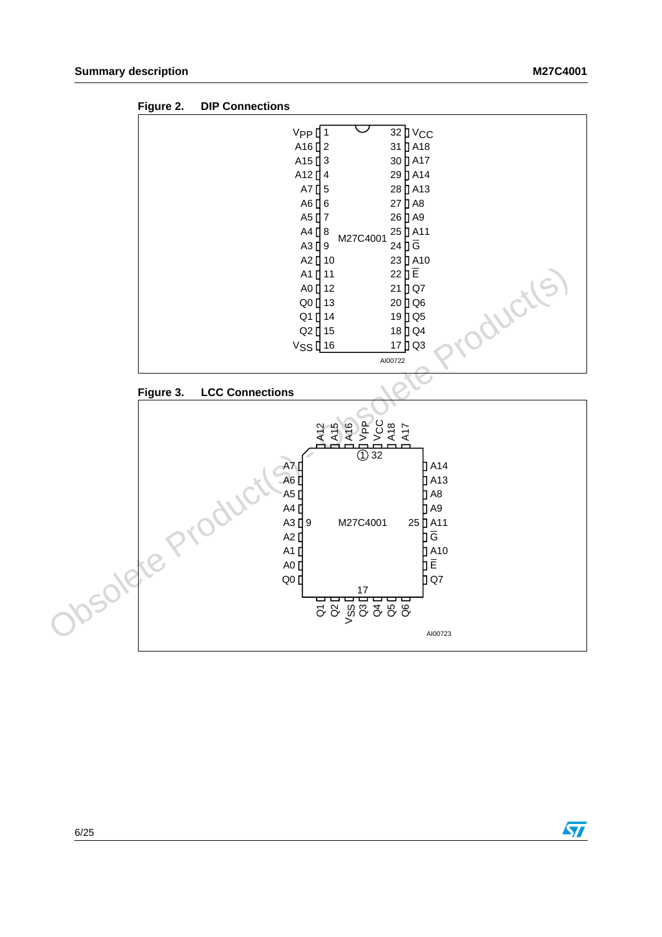

<span id="page-5-0"></span>

<span id="page-5-1"></span>



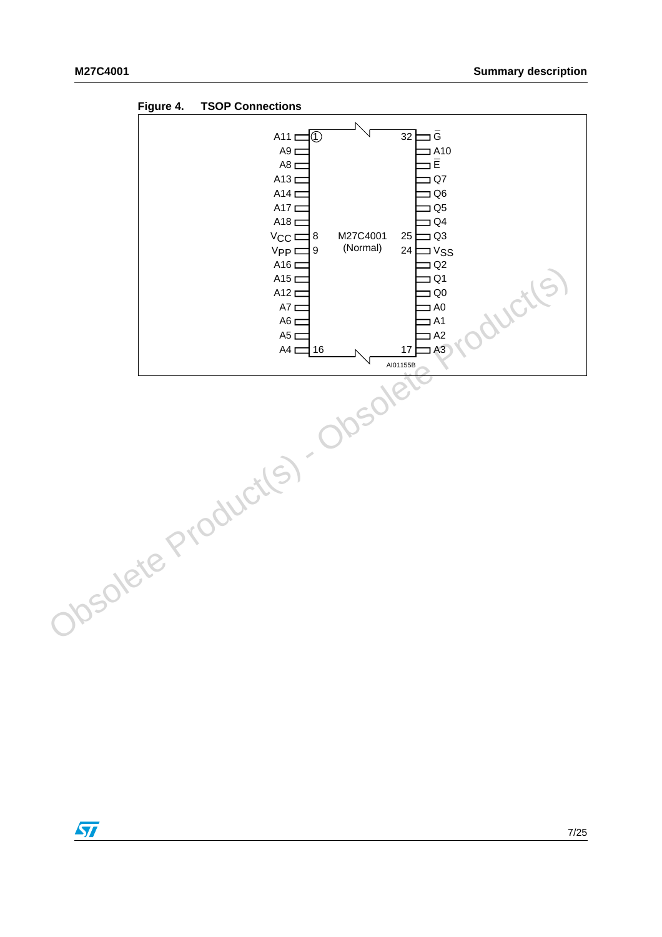

<span id="page-6-0"></span>**Figure 4. TSOP Connections**

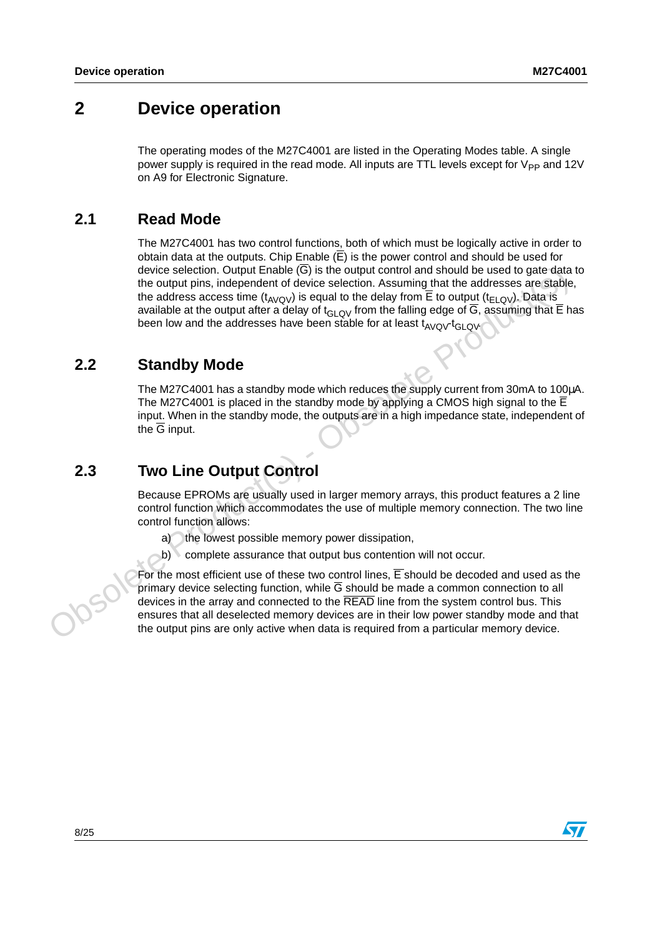## <span id="page-7-0"></span>**2 Device operation**

The operating modes of the M27C4001 are listed in the Operating Modes table. A single power supply is required in the read mode. All inputs are TTL levels except for V<sub>PP</sub> and 12V on A9 for Electronic Signature.

### <span id="page-7-1"></span>**2.1 Read Mode**

The M27C4001 has two control functions, both of which must be logically active in order to obtain data at the outputs. Chip Enable  $(E)$  is the power control and should be used for device selection. Output Enable  $(\overline{G})$  is the output control and should be used to gate data to the output pins, independent of device selection. Assuming that the addresses are stable, the address access time ( $t_{AVQV}$ ) is equal to the delay from  $\overline{E}$  to output ( $t_{ELQV}$ ). Data is available at the output after a delay of t<sub>GLOV</sub> from the falling edge of  $\overline{G}$ , assuming that  $\overline{E}$  has been low and the addresses have been stable for at least  $t_{AVOV}t_{GI,OV}$ .

### <span id="page-7-2"></span>**2.2 Standby Mode**

The M27C4001 has a standby mode which reduces the supply current from 30mA to 100µA. The M27C4001 is placed in the standby mode by applying a CMOS high signal to the  $\overline{E}$ input. When in the standby mode, the outputs are in a high impedance state, independent of the  $\overline{G}$  input.

## <span id="page-7-3"></span>**2.3 Two Line Output Control**

Because EPROMs are usually used in larger memory arrays, this product features a 2 line control function which accommodates the use of multiple memory connection. The two line control function allows:

- a) the lowest possible memory power dissipation,
- b) complete assurance that output bus contention will not occur.

For the most efficient use of these two control lines,  $\overline{E}$  should be decoded and used as the primary device selecting function, while G should be made a common connection to all devices in the array and connected to the READ line from the system control bus. This ensures that all deselected memory devices are in their low power standby mode and that the output pins are only active when data is required from a particular memory device.device selection. Output Enable (G) is the output control and should be used to gate detail<br>the output pins, independent of device selection. Assuming that the addresses are stable<br>the addresse scores time ( $u_{\text{avg}}$ ) is e



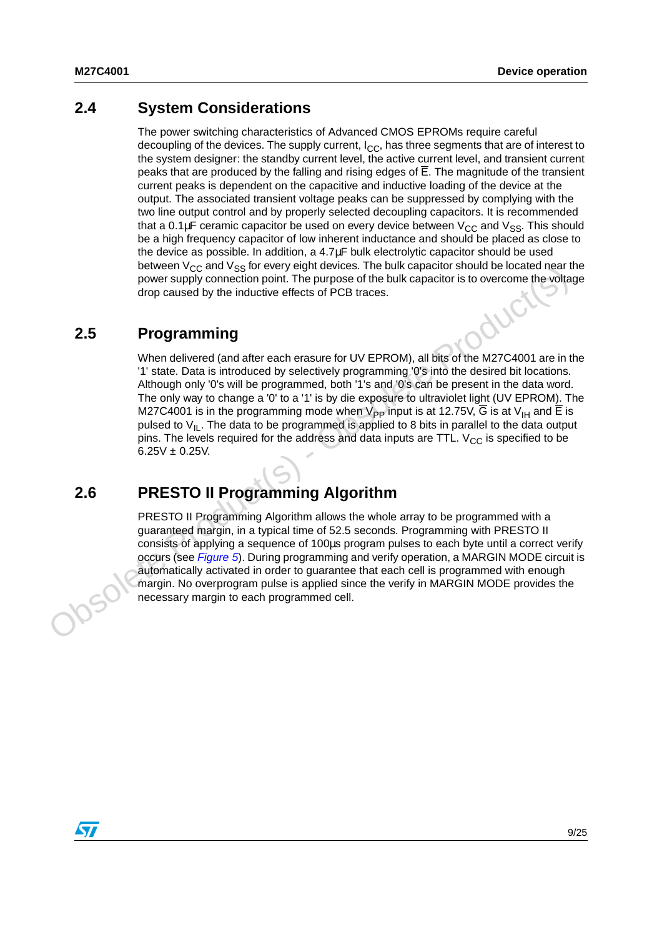### <span id="page-8-0"></span>**2.4 System Considerations**

The power switching characteristics of Advanced CMOS EPROMs require careful decoupling of the devices. The supply current,  $I_{\rm CC}$ , has three segments that are of interest to the system designer: the standby current level, the active current level, and transient current peaks that are produced by the falling and rising edges of E. The magnitude of the transient current peaks is dependent on the capacitive and inductive loading of the device at the output. The associated transient voltage peaks can be suppressed by complying with the two line output control and by properly selected decoupling capacitors. It is recommended that a 0.1 $\mu$ F ceramic capacitor be used on every device between  $V_{CC}$  and  $V_{SS}$ . This should be a high frequency capacitor of low inherent inductance and should be placed as close to the device as possible. In addition, a 4.7µF bulk electrolytic capacitor should be used between  $V_{CC}$  and  $V_{SS}$  for every eight devices. The bulk capacitor should be located near the power supply connection point. The purpose of the bulk capacitor is to overcome the voltage drop caused by the inductive effects of PCB traces.

### <span id="page-8-1"></span>**2.5 Programming**

When delivered (and after each erasure for UV EPROM), all bits of the M27C4001 are in the '1' state. Data is introduced by selectively programming '0's into the desired bit locations. Although only '0's will be programmed, both '1's and '0's can be present in the data word. The only way to change a '0' to a '1' is by die exposure to ultraviolet light (UV EPROM). The M27C4001 is in the programming mode when  $V_{\text{PP}}$  input is at 12.75V, G is at V<sub>IH</sub> and E is pulsed to  $V_{II}$ . The data to be programmed is applied to 8 bits in parallel to the data output pins. The levels required for the address and data inputs are TTL.  $V_{CC}$  is specified to be  $6.25V \pm 0.25V$ . necestary of the material of the programmed is applied to 8 bits in production of the function of the bulk capacitor is to overcome the voltation drop caused by the inductive effects of PCB traces.<br> **2.5** Programming<br>
Whe

## <span id="page-8-2"></span>**2.6 PRESTO II Programming Algorithm**

PRESTO II Programming Algorithm allows the whole array to be programmed with a guaranteed margin, in a typical time of 52.5 seconds. Programming with PRESTO II consists of applying a sequence of 100µs program pulses to each byte until a correct verify occurs (see Figure 5). During programming and verify operation, a MARGIN MODE circuit is automatically activated in order to guarantee that each cell is programmed with enough margin. No overprogram pulse is applied since the verify in MARGIN MODE provides the

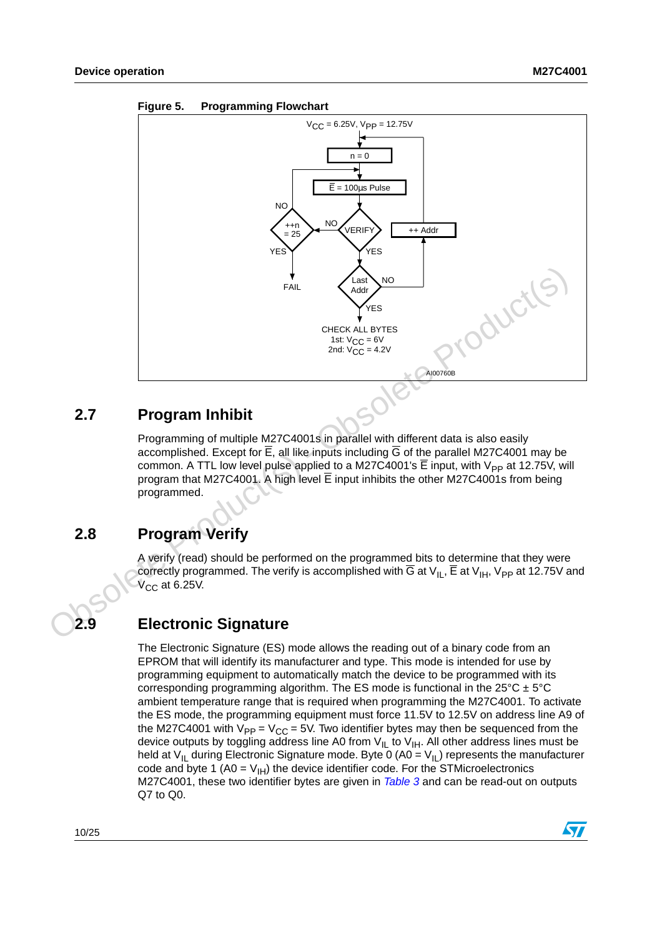

#### <span id="page-9-3"></span>**Figure 5. Programming Flowchart**

### <span id="page-9-0"></span>**2.7 Program Inhibit**

Programming of multiple M27C4001s in parallel with different data is also easily accomplished. Except for E, all like inputs including G of the parallel M27C4001 may be common. A TTL low level pulse applied to a M27C4001's  $\overline{E}$  input, with V<sub>PP</sub> at 12.75V, will program that M27C4001. A high level E input inhibits the other M27C4001s from being programmed.

## <span id="page-9-1"></span>**2.8 Program Verify**

A verify (read) should be performed on the programmed bits to determine that they were correctly programmed. The verify is accomplished with  $\overline{G}$  at V<sub>IL</sub>,  $\overline{E}$  at V<sub>IH</sub>, V<sub>PP</sub> at 12.75V and  $V_{\text{CC}}$  at 6.25 $V$ .

### <span id="page-9-2"></span>**2.9 Electronic Signature**

The Electronic Signature (ES) mode allows the reading out of a binary code from an EPROM that will identify its manufacturer and type. This mode is intended for use by programming equipment to automatically match the device to be programmed with its corresponding programming algorithm. The ES mode is functional in the  $25^{\circ}C \pm 5^{\circ}C$ ambient temperature range that is required when programming the M27C4001. To activate the ES mode, the programming equipment must force 11.5V to 12.5V on address line A9 of the M27C4001 with  $V_{PP} = V_{CC} = 5V$ . Two identifier bytes may then be sequenced from the device outputs by toggling address line A0 from V<sub>IL</sub> to V<sub>IH</sub>. All other address lines must be held at  $\vee$ <sub>IL</sub> during Electronic Signature mode. Byte 0 (A0 =  $\vee$ <sub>IL</sub>) represents the manufacturer code and byte 1 (A0 =  $V_{\text{H}}$ ) the device identifier code. For the STMicroelectronics M27C4001, these two identifier bytes are given in [Table 3](#page-10-2) and can be read-out on outputs Q7 to Q0.

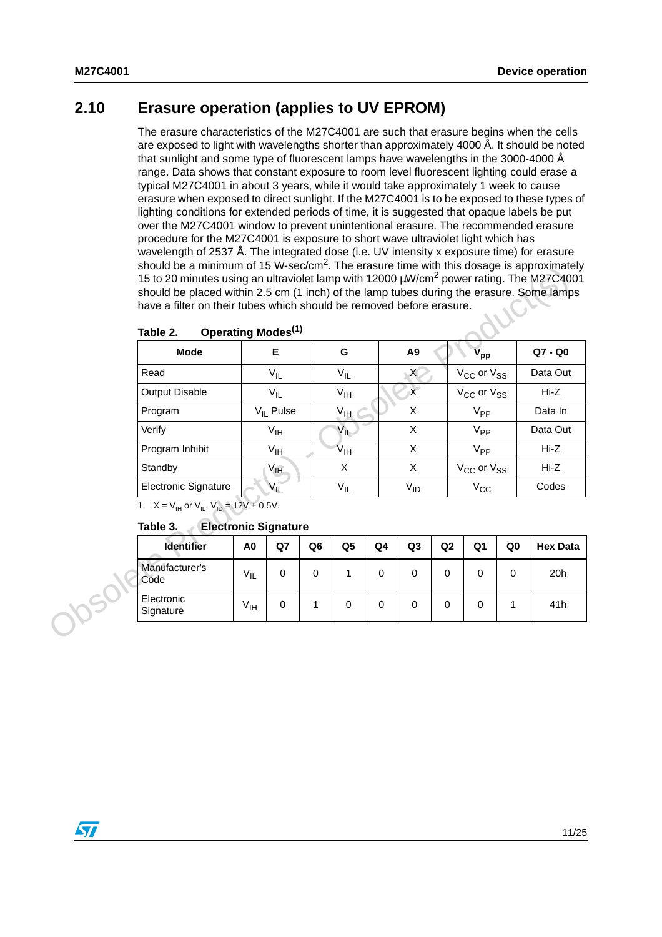### <span id="page-10-0"></span>**2.10 Erasure operation (applies to UV EPROM)**

The erasure characteristics of the M27C4001 are such that erasure begins when the cells are exposed to light with wavelengths shorter than approximately 4000 Å. It should be noted that sunlight and some type of fluorescent lamps have wavelengths in the 3000-4000 Å range. Data shows that constant exposure to room level fluorescent lighting could erase a typical M27C4001 in about 3 years, while it would take approximately 1 week to cause erasure when exposed to direct sunlight. If the M27C4001 is to be exposed to these types of lighting conditions for extended periods of time, it is suggested that opaque labels be put over the M27C4001 window to prevent unintentional erasure. The recommended erasure procedure for the M27C4001 is exposure to short wave ultraviolet light which has wavelength of 2537 Å. The integrated dose (i.e. UV intensity x exposure time) for erasure should be a minimum of 15 W-sec/cm<sup>2</sup>. The erasure time with this dosage is approximately 15 to 20 minutes using an ultraviolet lamp with 12000  $\mu$ W/cm<sup>2</sup> power rating. The M27C4001 should be placed within 2.5 cm (1 inch) of the lamp tubes during the erasure. Some lamps have a filter on their tubes which should be removed before erasure.

| Table 2.                                                                                 | Operating Modes <sup>(1)</sup> |                                    |                |                 |             |                |                |                                    |    |                 |
|------------------------------------------------------------------------------------------|--------------------------------|------------------------------------|----------------|-----------------|-------------|----------------|----------------|------------------------------------|----|-----------------|
| <b>Mode</b>                                                                              |                                | E                                  |                | G               |             | A <sub>9</sub> |                | $\rm v_{pp}$                       |    | Q7 - Q0         |
| Read                                                                                     |                                | $V_{IL}$                           |                | $V_{IL}$        |             | X              |                | V <sub>CC</sub> or V <sub>SS</sub> |    | Data Out        |
| <b>Output Disable</b>                                                                    |                                | $V_{IL}$                           |                | $V_{\text{IH}}$ |             | $\chi$         |                | V <sub>CC</sub> or V <sub>SS</sub> |    | Hi-Z            |
| Program                                                                                  |                                | $V_{II}$ Pulse                     |                | $V_{\text{IH}}$ |             | X              |                | V <sub>PP</sub>                    |    | Data In         |
| Verify                                                                                   |                                | $V_{\text{IH}}$                    |                | $V_{IL}$        |             | X              |                | $V_{PP}$                           |    | Data Out        |
| Program Inhibit                                                                          |                                | $V_{\text{IH}}$                    |                | $V_{\text{IH}}$ |             | X              |                | $V_{PP}$                           |    | Hi-Z            |
| Standby                                                                                  |                                | $V_{\text{I} \overline{\text{H}}}$ |                | X               |             | X              |                | $V_{CC}$ or $V_{SS}$               |    | Hi-Z            |
| <b>Electronic Signature</b>                                                              |                                | $V_{IL}$                           |                | $V_{IL}$        |             | $V_{ID}$       |                | $V_{CC}$                           |    | Codes           |
| 1. $X = V_{\text{IH}}$ or $V_{\text{IL}}$ , $V_{\text{ID}} = 12V \pm 0.5V$ .<br>Table 3. | <b>Electronic Signature</b>    |                                    |                |                 |             |                |                |                                    |    |                 |
| Identifier                                                                               | A <sub>0</sub>                 | Q7                                 | Q <sub>6</sub> | Q <sub>5</sub>  | Q4          | Q3             | Q <sub>2</sub> | Q <sub>1</sub>                     | Q0 | <b>Hex Data</b> |
| Manufacturer's<br>Code                                                                   | $V_{IL}$                       | $\mathbf 0$                        | 0              | 1               | $\mathbf 0$ | $\mathbf 0$    | $\mathbf 0$    | $\mathbf 0$                        | 0  | 20h             |
| Electronic<br>Signature                                                                  | $V_{\text{IH}}$                | $\mathbf 0$                        | 1              | 0               | 0           | 0              | $\mathbf 0$    | 0                                  | 1  | 41h             |

#### <span id="page-10-1"></span>Table 2. **Operating Modes<sup>(1)</sup>**

#### <span id="page-10-2"></span>**Table 3. Electronic Signature**

| <b>Identifier</b>       | A0              | Q7 | Q6 | Q5 | Q4 | Q3 | Q <sub>2</sub> | Q1 | Q0 | <b>Hex Data</b> |
|-------------------------|-----------------|----|----|----|----|----|----------------|----|----|-----------------|
| Manufacturer's<br>Code  | $V_{IL}$        | 0  | 0  |    | 0  | 0  | 0              |    | 0  | 20h             |
| Electronic<br>Signature | V <sub>IH</sub> | 0  |    | 0  | 0  | 0  | 0              |    |    | 41h             |

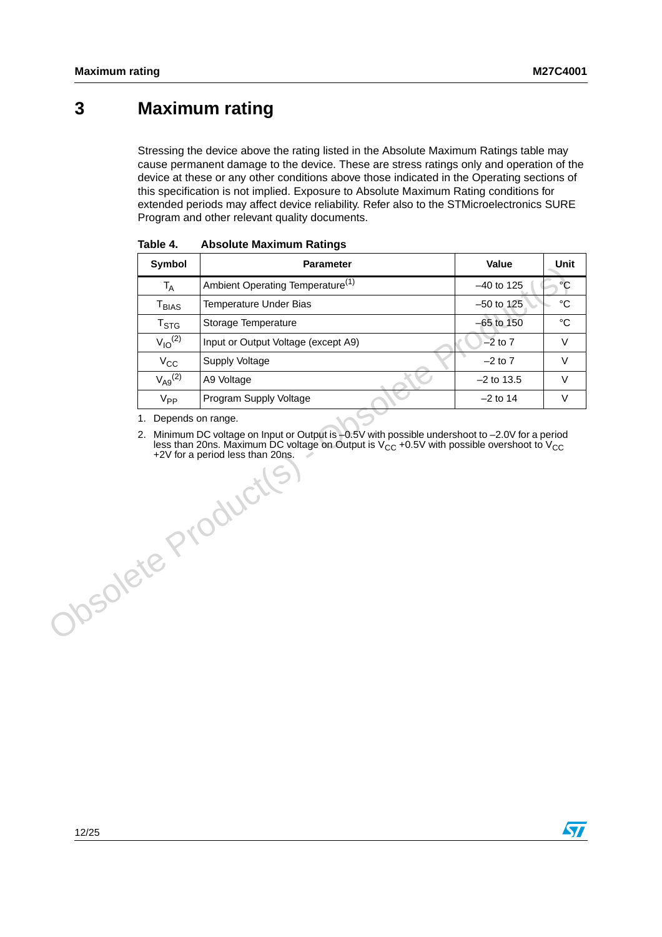## <span id="page-11-0"></span>**3 Maximum rating**

Stressing the device above the rating listed in the Absolute Maximum Ratings table may cause permanent damage to the device. These are stress ratings only and operation of the device at these or any other conditions above those indicated in the Operating sections of this specification is not implied. Exposure to Absolute Maximum Rating conditions for extended periods may affect device reliability. Refer also to the STMicroelectronics SURE Program and other relevant quality documents.

| Symbol                | <b>Parameter</b>                                                                                                       | Value        | <b>Unit</b> |
|-----------------------|------------------------------------------------------------------------------------------------------------------------|--------------|-------------|
| $T_A$                 | Ambient Operating Temperature <sup>(1)</sup>                                                                           | $-40$ to 125 | $\circ$ C   |
| $T_{BIAS}$            | Temperature Under Bias                                                                                                 | $-50$ to 125 | $^{\circ}C$ |
| $T_{\text{STG}}$      | Storage Temperature                                                                                                    | $-65$ to 150 | $^{\circ}C$ |
| $V_{10}^{(2)}$        | Input or Output Voltage (except A9)                                                                                    | $-2$ to $7$  | $\vee$      |
| $V_{CC}$              | Supply Voltage                                                                                                         | $-2$ to $7$  | $\vee$      |
| $V_{\text{A}9}^{(2)}$ | A9 Voltage                                                                                                             | $-2$ to 13.5 | $\vee$      |
| $V_{PP}$              | Program Supply Voltage                                                                                                 | $-2$ to 14   | V           |
|                       | less than 20ns. Maximum DC voltage on Output is $V_{CC}$ +0.5V with possible overshoot to $V_{CC}$<br>JOSOKER Products |              |             |

<span id="page-11-2"></span><span id="page-11-1"></span>Table 4. **Absolute Maximum Ratings** 

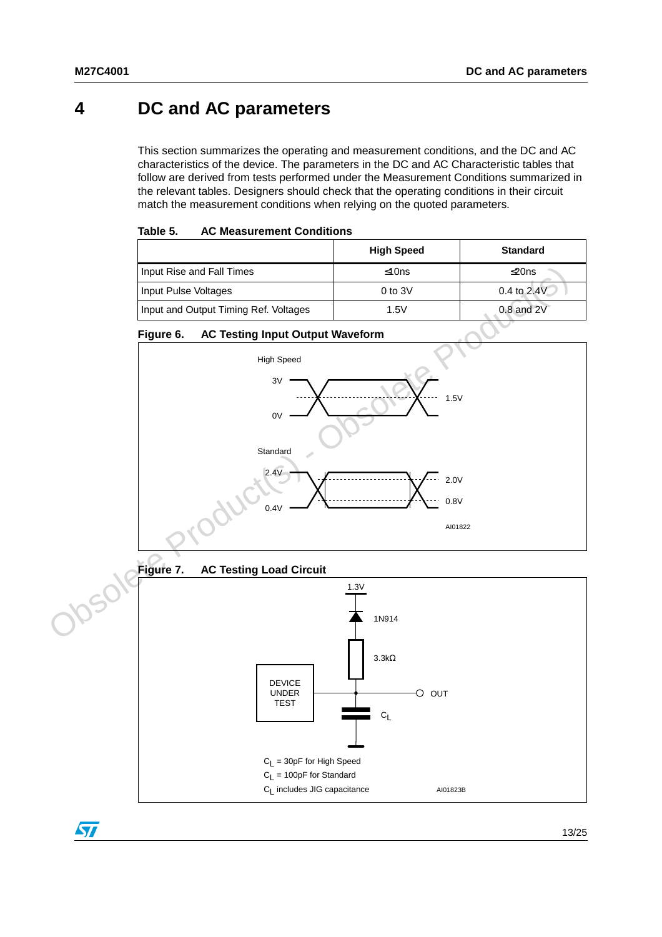## <span id="page-12-0"></span>**4 DC and AC parameters**

This section summarizes the operating and measurement conditions, and the DC and AC characteristics of the device. The parameters in the DC and AC Characteristic tables that follow are derived from tests performed under the Measurement Conditions summarized in the relevant tables. Designers should check that the operating conditions in their circuit match the measurement conditions when relying on the quoted parameters.

<span id="page-12-1"></span>

| Table 5. | <b>AC Measurement Conditions</b> |  |
|----------|----------------------------------|--|
|----------|----------------------------------|--|

|                                       | <b>High Speed</b> | <b>Standard</b> |
|---------------------------------------|-------------------|-----------------|
| Input Rise and Fall Times             | ≤10ns             | ≰20ns           |
| Input Pulse Voltages                  | $0$ to $3V$       | $0.4$ to $2.4V$ |
| Input and Output Timing Ref. Voltages | 1.5V              | $0.8$ and $2V$  |

#### <span id="page-12-3"></span><span id="page-12-2"></span>**Figure 6. AC Testing Input Output Waveform**



 $\sqrt{2}$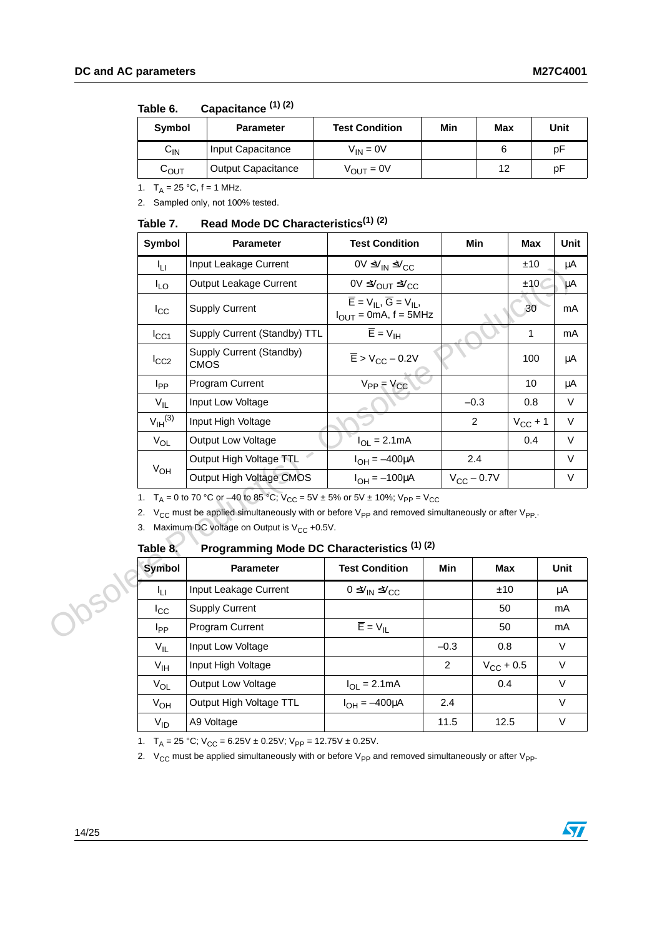| <b>Symbol</b>              | <b>Parameter</b>          | <b>Test Condition</b> | Min | Max | Unit |
|----------------------------|---------------------------|-----------------------|-----|-----|------|
| $\mathsf{C}_{\mathsf{IN}}$ | Input Capacitance         | $V_{IN} = 0V$         |     |     | D٣   |
| $\mathtt{C_{OUT}}$         | <b>Output Capacitance</b> | $V_{\text{OUT}} = 0V$ |     | 12  | рF   |

#### <span id="page-13-0"></span>Table 6. Capacitance (1) (2)

1.  $T_A = 25 °C$ ,  $f = 1$  MHz.

2. Sampled only, not 100% tested.

#### <span id="page-13-1"></span>Table 7. **Table 7. Read Mode DC Characteristics(1) (2)**

|           | Symbol                | <b>Parameter</b>                                                                                                                                                                                                                                                                                                                     | <b>Test Condition</b>                                                                                                               | Min                              | Max          | Unit         |
|-----------|-----------------------|--------------------------------------------------------------------------------------------------------------------------------------------------------------------------------------------------------------------------------------------------------------------------------------------------------------------------------------|-------------------------------------------------------------------------------------------------------------------------------------|----------------------------------|--------------|--------------|
| Īц        |                       | Input Leakage Current                                                                                                                                                                                                                                                                                                                | $0V \leq V_{IN} \leq V_{CC}$                                                                                                        |                                  | ±10          | μA           |
|           | $I_{LO}$              | Output Leakage Current                                                                                                                                                                                                                                                                                                               | 0V ≤V <sub>OUT</sub> ≤V <sub>CC</sub>                                                                                               |                                  | ±10          | μA           |
|           | $I_{\rm CC}$          | <b>Supply Current</b>                                                                                                                                                                                                                                                                                                                | $\overline{\mathsf{E}} = \mathsf{V}_{\mathsf{IL}}, \overline{\mathsf{G}} = \mathsf{V}_{\mathsf{IL}},$<br>$I_{OUT} = 0mA$ , f = 5MHz |                                  | 30           | mA           |
|           | $I_{\rm CC1}$         | Supply Current (Standby) TTL                                                                                                                                                                                                                                                                                                         | $\overline{E}$ = $V_{\text{IH}}$                                                                                                    |                                  | 1            | mA           |
| $I_{CC2}$ |                       | Supply Current (Standby)<br><b>CMOS</b>                                                                                                                                                                                                                                                                                              | $\overline{E}$ > V <sub>CC</sub> – 0.2V                                                                                             |                                  | 100          | μA           |
|           | I <sub>PP</sub>       | Program Current                                                                                                                                                                                                                                                                                                                      | $V_{PP} = V_{CC}$                                                                                                                   |                                  | 10           | μA           |
|           | $V_{IL}$              | Input Low Voltage                                                                                                                                                                                                                                                                                                                    |                                                                                                                                     | $-0.3$                           | 0.8          | $\vee$       |
|           | $V_{\text{IH}}^{(3)}$ | Input High Voltage                                                                                                                                                                                                                                                                                                                   |                                                                                                                                     | $\overline{2}$                   | $V_{CC}$ + 1 | V            |
|           | $V_{OL}$              | Output Low Voltage                                                                                                                                                                                                                                                                                                                   | $I_{OL} = 2.1mA$                                                                                                                    |                                  | 0.4          | V            |
|           |                       | Output High Voltage TTL                                                                                                                                                                                                                                                                                                              | $I_{OH} = -400 \mu A$                                                                                                               | 2.4                              |              | $\vee$       |
|           | $V_{OH}$              | Output High Voltage CMOS                                                                                                                                                                                                                                                                                                             | $I_{OH} = -100 \mu A$                                                                                                               | $V_{\text{CC}}$ – 0.7V           |              | $\vee$       |
|           | Table 8.              | 1. T <sub>A</sub> = 0 to 70 °C or –40 to 85 °C; $V_{CC}$ = 5V ± 5% or 5V ± 10%; $V_{PP}$ = V <sub>CC</sub><br>2. $V_{CC}$ must be applied simultaneously with or before $V_{PP}$ and removed simultaneously or after $V_{PP}$ .<br>3. Maximum DC voltage on Output is $V_{CC}$ +0.5V.<br>Programming Mode DC Characteristics (1) (2) |                                                                                                                                     |                                  |              |              |
|           | <b>Symbol</b>         | <b>Parameter</b>                                                                                                                                                                                                                                                                                                                     | <b>Test Condition</b>                                                                                                               | Min<br><b>Max</b>                |              | Unit         |
| 1050      | ĪЦ                    | Input Leakage Current                                                                                                                                                                                                                                                                                                                | $0 \leq V_{IN} \leq V_{CC}$                                                                                                         | ±10                              |              | μA           |
|           | $I_{\rm CC}$          | <b>Supply Current</b>                                                                                                                                                                                                                                                                                                                |                                                                                                                                     | 50                               |              | mA           |
|           | <b>I</b> pp           | Program Current                                                                                                                                                                                                                                                                                                                      | $\overline{E}$ = $V_{IL}$                                                                                                           | 50                               |              | mA           |
|           | $V_{IL}$              | Input Low Voltage                                                                                                                                                                                                                                                                                                                    |                                                                                                                                     | $-0.3$<br>0.8                    |              | V            |
|           | $V_{\text{IH}}$       | Input High Voltage                                                                                                                                                                                                                                                                                                                   |                                                                                                                                     | $\overline{2}$<br>$V_{CC}$ + 0.5 |              | $\mathsf{V}$ |

#### <span id="page-13-2"></span>Table 8. **Programming Mode DC Characteristics (1) (2)**

| <b>Symbol</b>   | <b>Parameter</b>        | <b>Test Condition</b>                     | Min    | Max                | Unit   |
|-----------------|-------------------------|-------------------------------------------|--------|--------------------|--------|
| Īц              | Input Leakage Current   | $0 \leq V_{\text{IN}} \leq V_{\text{CC}}$ |        | ±10                | μA     |
| $I_{\rm CC}$    | <b>Supply Current</b>   |                                           |        | 50                 | mA     |
| I <sub>PP</sub> | Program Current         | $\overline{E}$ = $V_{IL}$                 |        | 50                 | mA     |
| $V_{IL}$        | Input Low Voltage       |                                           | $-0.3$ | 0.8                | V      |
| $V_{\text{IH}}$ | Input High Voltage      |                                           | 2      | $V_{\rm CC}$ + 0.5 | $\vee$ |
| $V_{OL}$        | Output Low Voltage      | $I_{OL} = 2.1mA$                          |        | 0.4                | V      |
| $V_{OH}$        | Output High Voltage TTL | $I_{OH} = -400 \mu A$                     | 2.4    |                    | $\vee$ |
| $V_{ID}$        | A9 Voltage              |                                           | 11.5   | 12.5               | V      |

1.  $T_A = 25 \text{ °C}$ ;  $V_{CC} = 6.25V \pm 0.25V$ ;  $V_{PP} = 12.75V \pm 0.25V$ .

2.  $V_{CC}$  must be applied simultaneously with or before  $V_{PP}$  and removed simultaneously or after  $V_{PP}$ .

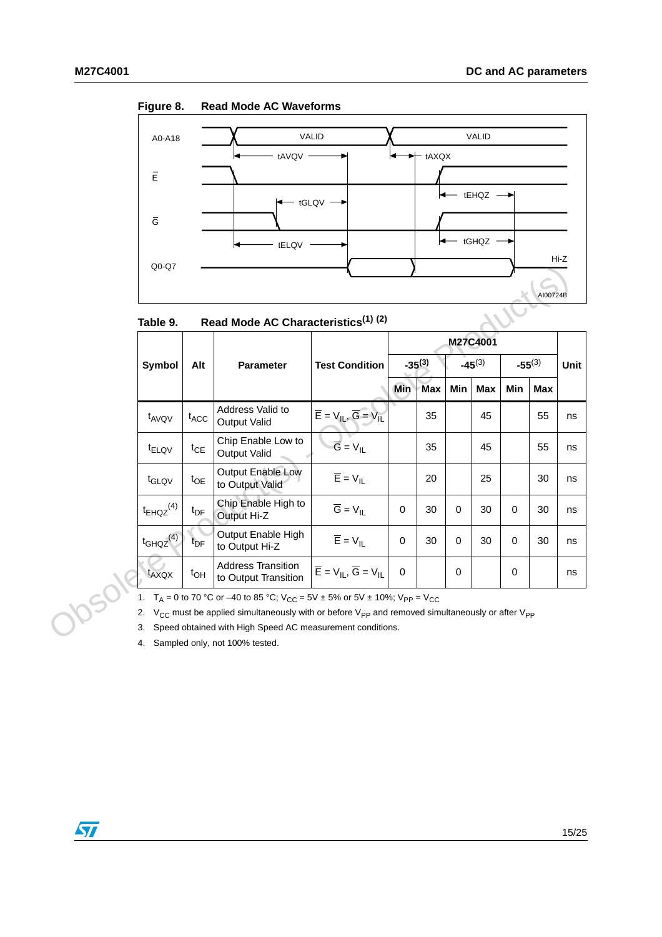

<span id="page-14-1"></span>

| Figure 8.<br><b>Read Mode AC Waveforms</b> |
|--------------------------------------------|
|--------------------------------------------|

<span id="page-14-0"></span>

|                                                                                                                                                                                                                         |                 | Read Mode AC Characteristics <sup>(1)</sup> (2)   |                                                                                                      | M27C4001    |                                                           |             |            |             |            |             |
|-------------------------------------------------------------------------------------------------------------------------------------------------------------------------------------------------------------------------|-----------------|---------------------------------------------------|------------------------------------------------------------------------------------------------------|-------------|-----------------------------------------------------------|-------------|------------|-------------|------------|-------------|
| <b>Symbol</b>                                                                                                                                                                                                           | Alt             | <b>Parameter</b>                                  | <b>Test Condition</b>                                                                                | $-35^{(3)}$ |                                                           | $-45^{(3)}$ |            | $-55^{(3)}$ |            | <b>Unit</b> |
|                                                                                                                                                                                                                         |                 |                                                   |                                                                                                      | <b>Min</b>  | Max                                                       | <b>Min</b>  | <b>Max</b> | Min         | <b>Max</b> |             |
| t <sub>AVQV</sub>                                                                                                                                                                                                       | $t_{ACC}$       | Address Valid to<br><b>Output Valid</b>           | $\overline{E} = V_{IL}$ , $\overline{G} = V_{IL}$                                                    |             | 35                                                        |             | 45         |             | 55         | ns          |
| <sup>t</sup> ELQV                                                                                                                                                                                                       | $t_{CE}$        | Chip Enable Low to<br><b>Output Valid</b>         | $\overline{G}$ = $V_{IL}$                                                                            |             | 35                                                        |             | 45         |             | 55         | ns          |
| t <sub>GLQV</sub>                                                                                                                                                                                                       | $t_{OE}$        | Output Enable Low<br>to Output Valid              | $\overline{E} = V_{IL}$                                                                              |             | 20                                                        |             | 25         |             | 30         | ns          |
| $t_{EHQZ}$ <sup>(4)</sup>                                                                                                                                                                                               | $t_{\text{DF}}$ | Chip Enable High to<br>Output Hi-Z                | $\overline{G} = V_{\parallel}$                                                                       | $\Omega$    | 30                                                        | 0           | 30         | 0           | 30         | ns          |
| $t_{GHQZ}$ <sup>(4)</sup>                                                                                                                                                                                               | t <sub>DF</sub> | Output Enable High<br>to Output Hi-Z              | $\overline{E}$ = $V_{IL}$                                                                            | $\Omega$    | 30                                                        | $\Omega$    | 30         | $\Omega$    | 30         | ns          |
| t <sub>AXQX</sub>                                                                                                                                                                                                       | $t_{OH}$        | <b>Address Transition</b><br>to Output Transition | $\overline{\mathsf{E}} = \mathsf{V}_{\mathsf{IL}}, \overline{\mathsf{G}} = \mathsf{V}_{\mathsf{IL}}$ | $\mathbf 0$ |                                                           | 0           |            | 0           |            | ns          |
| $T_A$ = 0 to 70 °C or –40 to 85 °C; $V_{CC}$ = 5V ± 5% or 5V ± 10%; $V_{PP}$ = V <sub>CC</sub><br>2. $V_{CC}$ must be applied simultaneously with or before $V_{PP}$ and removed simultaneously or after $V_{PP}$<br>3. |                 |                                                   |                                                                                                      |             |                                                           |             |            |             |            |             |
|                                                                                                                                                                                                                         |                 |                                                   |                                                                                                      |             | Speed obtained with High Speed AC measurement conditions. |             |            |             |            |             |

<span id="page-14-3"></span><span id="page-14-2"></span>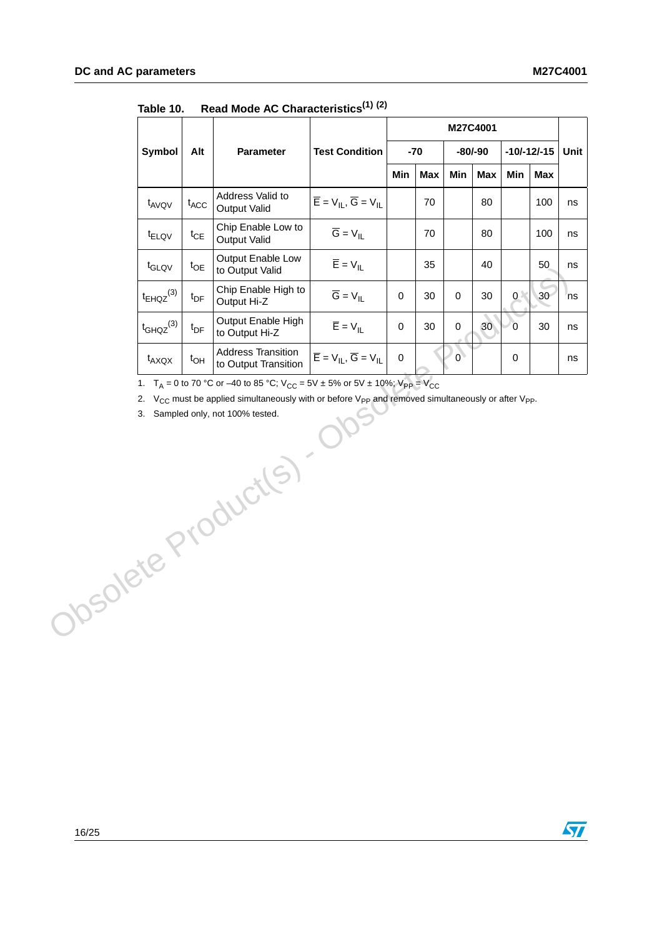|                                                                                                                                                                                                                                                                                     |                   |                 |                                                   |                                                                                                      | M27C4001    |            |                |            |                |                 |      |
|-------------------------------------------------------------------------------------------------------------------------------------------------------------------------------------------------------------------------------------------------------------------------------------|-------------------|-----------------|---------------------------------------------------|------------------------------------------------------------------------------------------------------|-------------|------------|----------------|------------|----------------|-----------------|------|
|                                                                                                                                                                                                                                                                                     | Symbol            | Alt             | Parameter                                         | <b>Test Condition</b><br>$-70$                                                                       |             | $-80/-90$  |                |            |                | $-10/-12/-15$   | Unit |
|                                                                                                                                                                                                                                                                                     |                   |                 |                                                   |                                                                                                      | Min         | <b>Max</b> | Min            | <b>Max</b> | Min            | Max             |      |
|                                                                                                                                                                                                                                                                                     | t <sub>AVQV</sub> | $t_{ACC}$       | Address Valid to<br><b>Output Valid</b>           | $\overline{\mathsf{E}} = \mathsf{V}_{\mathsf{IL}}, \overline{\mathsf{G}} = \mathsf{V}_{\mathsf{IL}}$ |             | 70         |                | 80         |                | 100             | ns   |
|                                                                                                                                                                                                                                                                                     | $t_{ELOV}$        | $t_{CE}$        | Chip Enable Low to<br><b>Output Valid</b>         | $\overline{G} = V_{\parallel}$                                                                       |             | 70         |                | 80         |                | 100             | ns   |
|                                                                                                                                                                                                                                                                                     | t <sub>GLQV</sub> | $t_{OE}$        | Output Enable Low<br>to Output Valid              | $\overline{E} = V_{\parallel}$                                                                       |             | 35         |                | 40         |                | 50              | ns   |
|                                                                                                                                                                                                                                                                                     | $t_{EHQZ}^{(3)}$  | $t_{\text{DF}}$ | Chip Enable High to<br>Output Hi-Z                | $\overline{G} = V_{\parallel}$                                                                       | 0           | 30         | 0              | 30         | 0<             | 30 <sub>2</sub> | ns   |
|                                                                                                                                                                                                                                                                                     | $t_{GHQZ}^{(3)}$  | $t_{\text{DF}}$ | Output Enable High<br>to Output Hi-Z              | $\overline{E} = V_{IL}$                                                                              | $\pmb{0}$   | 30         | $\mathbf 0$    | 30         | $\overline{0}$ | 30              | ns   |
|                                                                                                                                                                                                                                                                                     | $t_{AXQX}$        | $t_{OH}$        | <b>Address Transition</b><br>to Output Transition | $\overline{\mathsf{E}} = \mathsf{V}_{\mathsf{IL}}, \overline{\mathsf{G}} = \mathsf{V}_{\mathsf{IL}}$ | $\mathbf 0$ |            | $\overline{0}$ |            | $\pmb{0}$      |                 | ns   |
| 1. $T_A = 0$ to 70 °C or -40 to 85 °C; $V_{CC} = 5V \pm 5\%$ or $5V \pm 10\%$ ; $V_{PP} = V_{CC}$<br>2. $V_{CC}$ must be applied simultaneously with or before $V_{PP}$ and removed simultaneously or after $V_{PP}$ .<br>3. Sampled only, not 100% tested.<br>Obsolete Product(s). |                   |                 |                                                   |                                                                                                      |             |            |                |            |                |                 |      |

<span id="page-15-1"></span><span id="page-15-0"></span>**Table 10. Read Mode AC Characteristics(1) (2)**

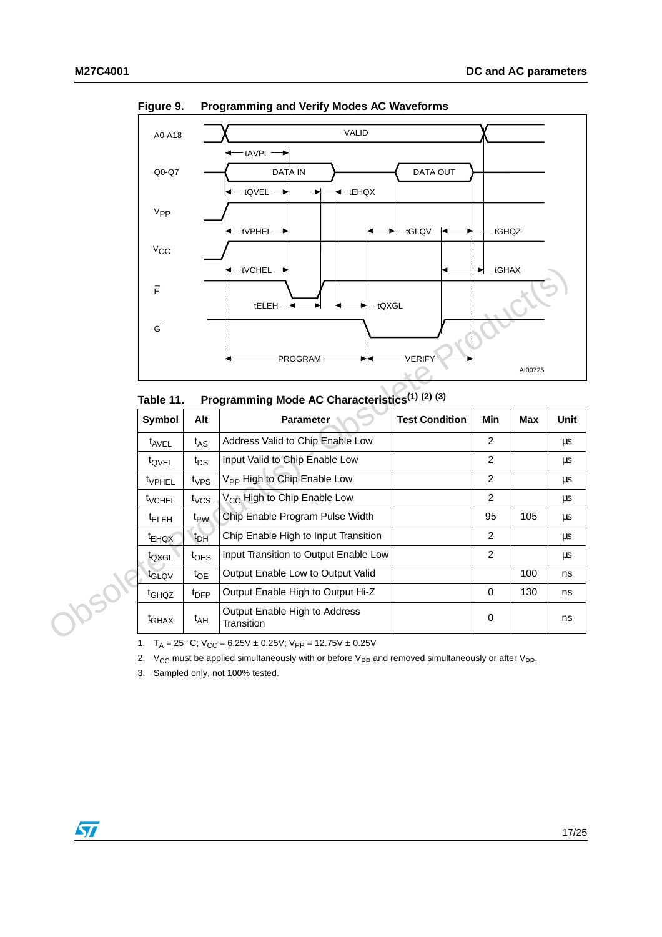

<span id="page-16-1"></span>**Figure 9. Programming and Verify Modes AC Waveforms**

<span id="page-16-0"></span>**Table 11. Programming Mode AC Characteristics(1) (2) (3)**

| $\overline{\mathsf{E}}$<br>$\overline{\mathsf{G}}$ |                  | $\leftarrow$ tVCHEL $\rightarrow$<br>$t$ ELEH $\rightarrow$<br>tQXGL<br>PROGRAM                                                                                                                                                        | <b>VERIFY</b>         | $\rightarrow$ tGHAX | AI00725    |      |
|----------------------------------------------------|------------------|----------------------------------------------------------------------------------------------------------------------------------------------------------------------------------------------------------------------------------------|-----------------------|---------------------|------------|------|
| Table 11.                                          |                  | Programming Mode AC Characteristics <sup>(1)</sup> (2) (3)                                                                                                                                                                             |                       |                     |            |      |
| Symbol                                             | Alt              | <b>Parameter</b>                                                                                                                                                                                                                       | <b>Test Condition</b> | Min                 | <b>Max</b> | Unit |
| $t_{AVEL}$                                         | $t_{AS}$         | Address Valid to Chip Enable Low                                                                                                                                                                                                       |                       | $\overline{2}$      |            | μs   |
| t <sub>QVEL</sub>                                  | $t_{DS}$         | Input Valid to Chip Enable Low                                                                                                                                                                                                         |                       | $\mathbf{2}$        |            | μs   |
| t <sub>VPHEL</sub>                                 | $t_{VPS}$        | V <sub>PP</sub> High to Chip Enable Low                                                                                                                                                                                                |                       | $\overline{2}$      |            | μs   |
| <b>t</b> <sub>VCHEL</sub>                          | $t_{VCS}$        | V <sub>CC</sub> High to Chip Enable Low                                                                                                                                                                                                |                       | 2                   |            | μs   |
| <sup>t</sup> ELEH                                  | $t_{PW}$         | Chip Enable Program Pulse Width                                                                                                                                                                                                        |                       | 95                  | 105        | μs   |
| t <sub>EHQX</sub>                                  | $t_{DH}$         | Chip Enable High to Input Transition                                                                                                                                                                                                   |                       | $\mathbf{2}$        |            | μs   |
| toxgL                                              | $t_{\text{OES}}$ | Input Transition to Output Enable Low                                                                                                                                                                                                  |                       | $\overline{c}$      |            | μs   |
| t <sub>GLQV</sub>                                  | $t_{OE}$         | Output Enable Low to Output Valid                                                                                                                                                                                                      |                       |                     | 100        | ns   |
| t <sub>GHQZ</sub>                                  | $t_{\text{DFP}}$ | Output Enable High to Output Hi-Z                                                                                                                                                                                                      |                       | $\mathbf 0$         | 130        | ns   |
| t <sub>GHAX</sub>                                  | t <sub>AH</sub>  | Output Enable High to Address<br>Transition                                                                                                                                                                                            |                       | 0                   |            | ns   |
|                                                    |                  | 1. $T_A = 25 °C$ ; $V_{CC} = 6.25 V \pm 0.25 V$ ; $V_{PP} = 12.75 V \pm 0.25 V$<br>2. $V_{CC}$ must be applied simultaneously with or before $V_{PP}$ and removed simultaneously or after $V_{PP}$ .<br>2 Campled only not 1000/tooted |                       |                     |            |      |

3. Sampled only, not 100% tested.

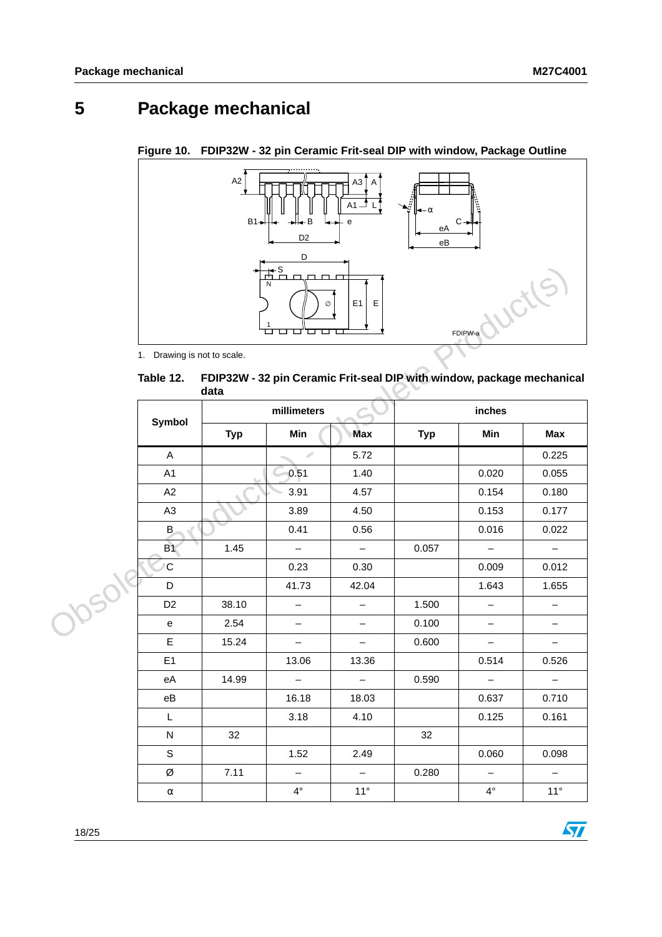# <span id="page-17-0"></span>**5 Package mechanical**

<span id="page-17-2"></span>**Figure 10. FDIP32W - 32 pin Ceramic Frit-seal DIP with window, Package Outline**



<span id="page-17-1"></span> **Table 12. FDIP32W - 32 pin Ceramic Frit-seal DIP with window, package mechanical data**

|       | 1. Drawing is not to scale.<br>Table 12. |            | N<br>Ø<br>ㅁㅁ<br>ப<br>FDIP32W - 32 pin Ceramic Frit-seal DIP with window, package mechanical | E1<br>Ε                  |            | FDIPW-a                  | ucils                    |  |
|-------|------------------------------------------|------------|---------------------------------------------------------------------------------------------|--------------------------|------------|--------------------------|--------------------------|--|
|       |                                          | data       | millimeters                                                                                 |                          | inches     |                          |                          |  |
|       | Symbol                                   |            |                                                                                             |                          |            |                          |                          |  |
|       |                                          | <b>Typ</b> | Min                                                                                         | <b>Max</b>               | <b>Typ</b> | Min                      | Max                      |  |
|       | A                                        |            | s.                                                                                          | 5.72                     |            |                          | 0.225                    |  |
|       | A1                                       |            | 0.51                                                                                        | 1.40                     |            | 0.020                    | 0.055                    |  |
|       | A2                                       |            | 3.91                                                                                        | 4.57                     |            | 0.154                    | 0.180                    |  |
|       | A <sub>3</sub>                           |            | 3.89                                                                                        | 4.50                     |            | 0.153                    | 0.177                    |  |
|       | B                                        |            | 0.41                                                                                        | 0.56                     |            | 0.016                    | 0.022                    |  |
|       | <b>B1</b>                                | 1.45       | $\overline{\phantom{m}}$                                                                    | $\overline{\phantom{0}}$ | 0.057      | $\qquad \qquad -$        | $\overline{\phantom{a}}$ |  |
|       | C                                        |            | 0.23                                                                                        | 0.30                     |            | 0.009                    | 0.012                    |  |
|       | D                                        |            | 41.73                                                                                       | 42.04                    |            | 1.643                    | 1.655                    |  |
|       | D <sub>2</sub>                           | 38.10      | —                                                                                           | -                        | 1.500      | —                        | $\qquad \qquad -$        |  |
| Josol | е                                        | 2.54       | $\qquad \qquad -$                                                                           | $\overline{\phantom{0}}$ | 0.100      | $\qquad \qquad -$        | $\overline{\phantom{m}}$ |  |
|       | E                                        | 15.24      | $\qquad \qquad -$                                                                           | $\overline{\phantom{0}}$ | 0.600      | $\qquad \qquad -$        | $\overline{\phantom{m}}$ |  |
|       | E1                                       |            | 13.06                                                                                       | 13.36                    |            | 0.514                    | 0.526                    |  |
|       | eA                                       | 14.99      | $\overline{\phantom{0}}$                                                                    | $\overline{\phantom{0}}$ | 0.590      | $\overline{\phantom{0}}$ | $\overline{\phantom{0}}$ |  |
|       | eB                                       |            | 16.18                                                                                       | 18.03                    |            | 0.637                    | 0.710                    |  |
|       | L                                        |            | 3.18                                                                                        | 4.10                     |            | 0.125                    | 0.161                    |  |
|       | N                                        | 32         |                                                                                             |                          | 32         |                          |                          |  |
|       | $\mathbf S$                              |            | 1.52                                                                                        | 2.49                     |            | 0.060                    | 0.098                    |  |
|       | Ø                                        | 7.11       | $\overline{\phantom{0}}$                                                                    | $\overline{\phantom{0}}$ | 0.280      | $\qquad \qquad -$        | $\overline{\phantom{m}}$ |  |
|       | $\alpha$                                 |            | $4^{\circ}$                                                                                 | $11^\circ$               |            | $4^{\circ}$              | $11^{\circ}$             |  |



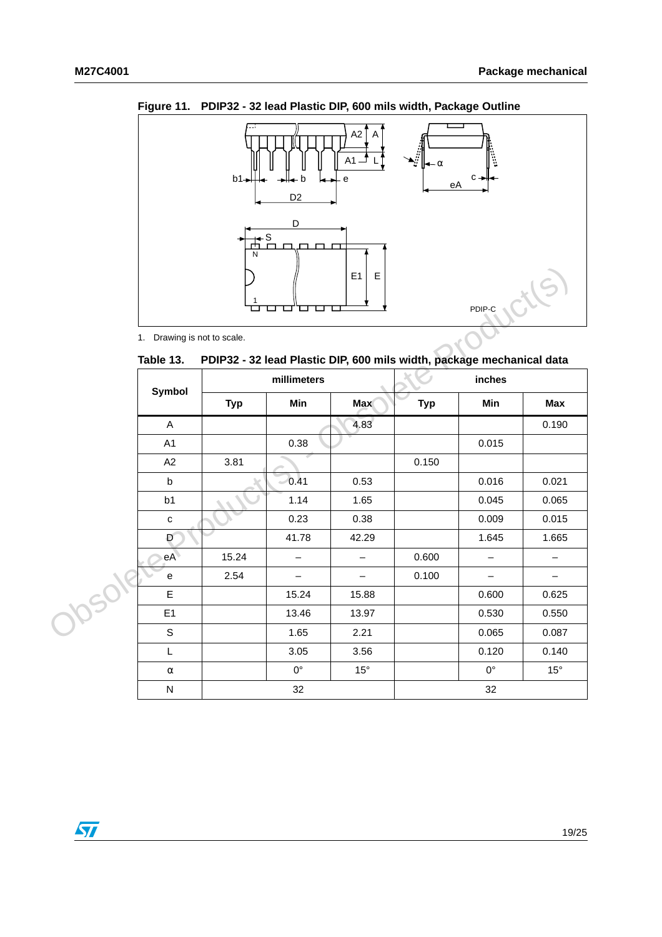

<span id="page-18-1"></span>**Figure 11. PDIP32 - 32 lead Plastic DIP, 600 mils width, Package Outline**

<span id="page-18-0"></span>Table 13. **Table 13. PDIP32 - 32 lead Plastic DIP, 600 mils width, package mechanical data**

|       |                             | ப          |                          | E <sub>1</sub><br>E                                                   |            | PDIP-C                   |                          |  |  |
|-------|-----------------------------|------------|--------------------------|-----------------------------------------------------------------------|------------|--------------------------|--------------------------|--|--|
|       | 1. Drawing is not to scale. |            |                          |                                                                       |            |                          |                          |  |  |
|       | Table 13.                   |            |                          | PDIP32 - 32 lead Plastic DIP, 600 mils width, package mechanical data |            |                          |                          |  |  |
|       | <b>Symbol</b>               |            | millimeters              |                                                                       | inches     |                          |                          |  |  |
|       |                             | <b>Typ</b> | Min                      | <b>Max</b>                                                            | <b>Typ</b> | Min                      | Max                      |  |  |
|       | A                           |            |                          | 4.83                                                                  |            |                          | 0.190                    |  |  |
|       | A <sub>1</sub>              |            | 0.38                     |                                                                       |            | 0.015                    |                          |  |  |
|       | A2                          | 3.81       |                          |                                                                       | 0.150      |                          |                          |  |  |
|       | b                           |            | $\bigcirc$ 0.41          | 0.53                                                                  |            | 0.016                    | 0.021                    |  |  |
|       | b <sub>1</sub>              |            | 1.14                     | 1.65                                                                  |            | 0.045                    | 0.065                    |  |  |
|       | C                           |            | 0.23                     | 0.38                                                                  |            | 0.009                    | 0.015                    |  |  |
|       | Đ                           |            | 41.78                    | 42.29                                                                 |            | 1.645                    | 1.665                    |  |  |
|       | eA                          | 15.24      | $\overline{\phantom{0}}$ | $\overline{\phantom{0}}$                                              | 0.600      | $\overline{\phantom{0}}$ | $\qquad \qquad -$        |  |  |
| 10501 | е                           | 2.54       | $\overline{\phantom{0}}$ | $\overline{\phantom{0}}$                                              | 0.100      | $\overline{\phantom{0}}$ | $\overline{\phantom{m}}$ |  |  |
|       | E                           |            | 15.24                    | 15.88                                                                 |            | 0.600                    | 0.625                    |  |  |
|       | E1                          |            | 13.46                    | 13.97                                                                 |            | 0.530                    | 0.550                    |  |  |
|       | S                           |            | 1.65                     | 2.21                                                                  |            | 0.065                    | 0.087                    |  |  |
|       | L                           |            | 3.05                     | 3.56                                                                  |            | 0.120                    | 0.140                    |  |  |
|       | $\alpha$                    |            | $0^{\circ}$              | $15^{\circ}$                                                          |            | $0^{\circ}$              | $15^{\circ}$             |  |  |
|       | ${\sf N}$                   |            | 32                       |                                                                       |            | 32                       |                          |  |  |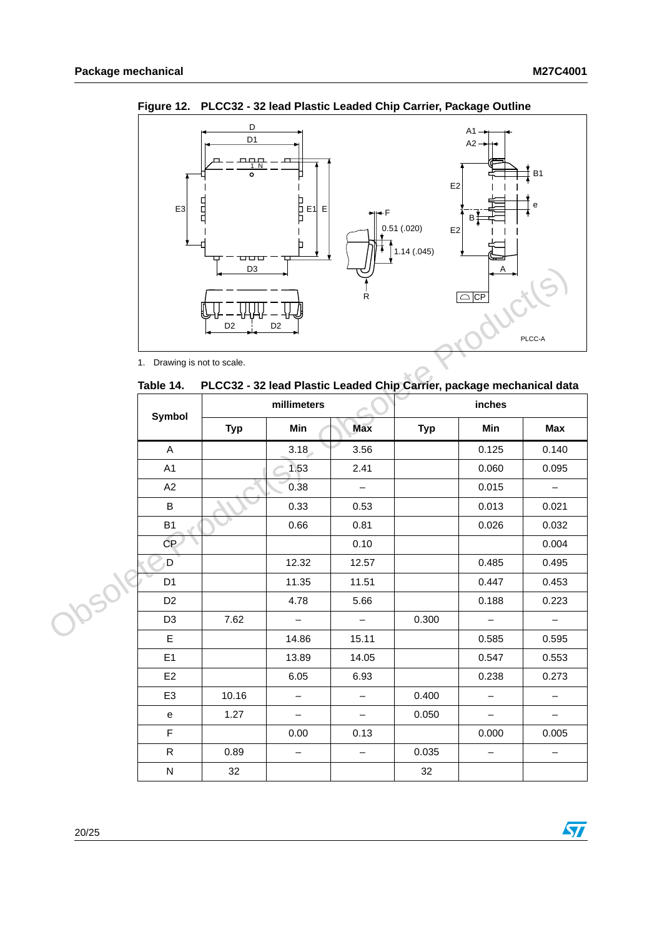

<span id="page-19-1"></span>**Figure 12. PLCC32 - 32 lead Plastic Leaded Chip Carrier, Package Outline**

<span id="page-19-0"></span>**Table 14. PLCC32 - 32 lead Plastic Leaded Chip Carrier, package mechanical data**

|      |                             | D <sub>3</sub> |                   |                                                                       |            | $\mathsf{A}$             |                          |  |  |  |
|------|-----------------------------|----------------|-------------------|-----------------------------------------------------------------------|------------|--------------------------|--------------------------|--|--|--|
|      |                             | D <sub>2</sub> | D <sub>2</sub>    |                                                                       |            | $\overline{\bigcirc}$ CP |                          |  |  |  |
|      |                             |                |                   |                                                                       |            | PLCC-A                   |                          |  |  |  |
|      | 1. Drawing is not to scale. |                |                   |                                                                       |            |                          |                          |  |  |  |
|      | Table 14.                   |                |                   | PLCC32 - 32 lead Plastic Leaded Chip Carrier, package mechanical data |            |                          |                          |  |  |  |
|      |                             |                | millimeters       |                                                                       |            | inches                   |                          |  |  |  |
|      | Symbol                      | <b>Typ</b>     | Min               | <b>Max</b>                                                            | <b>Typ</b> | Min                      | Max                      |  |  |  |
|      | A                           |                | 3.18              | 3.56                                                                  |            | 0.125                    | 0.140                    |  |  |  |
|      | A1                          |                | 1.53              | 2.41                                                                  |            | 0.060                    | 0.095                    |  |  |  |
|      | A2                          |                | 0.38              | $\overline{\phantom{0}}$                                              |            | 0.015                    | $\equiv$                 |  |  |  |
|      | $\sf B$                     |                | 0.33              | 0.53                                                                  |            | 0.013                    | 0.021                    |  |  |  |
|      | B <sub>1</sub>              |                | 0.66              | 0.81                                                                  |            | 0.026                    | 0.032                    |  |  |  |
|      | CP                          |                |                   | 0.10                                                                  |            |                          | 0.004                    |  |  |  |
|      | D                           |                | 12.32             | 12.57                                                                 |            | 0.485                    | 0.495                    |  |  |  |
|      | D <sub>1</sub>              |                | 11.35             | 11.51                                                                 |            | 0.447                    | 0.453                    |  |  |  |
|      | D <sub>2</sub>              |                | 4.78              | 5.66                                                                  |            | 0.188                    | 0.223                    |  |  |  |
| Jose | D <sub>3</sub>              | 7.62           | $\qquad \qquad -$ | $\qquad \qquad -$                                                     | 0.300      |                          | $\overline{\phantom{m}}$ |  |  |  |
|      | $\mathsf E$                 |                | 14.86             | 15.11                                                                 |            | 0.585                    | 0.595                    |  |  |  |
|      | E <sub>1</sub>              |                | 13.89             | 14.05                                                                 |            | 0.547                    | 0.553                    |  |  |  |
|      | E <sub>2</sub>              |                | 6.05              | 6.93                                                                  |            | 0.238                    | 0.273                    |  |  |  |
|      | E <sub>3</sub>              | 10.16          | $\qquad \qquad -$ | $\qquad \qquad -$                                                     | 0.400      | $\overline{\phantom{0}}$ | $\qquad \qquad -$        |  |  |  |
|      | е                           | 1.27           | $\equiv$          | $\overline{\phantom{0}}$                                              | 0.050      | $\equiv$                 | $\overline{\phantom{m}}$ |  |  |  |
|      | F                           |                | 0.00              | 0.13                                                                  |            | 0.000                    | 0.005                    |  |  |  |
|      | $\mathsf{R}$                | 0.89           | $\qquad \qquad -$ | $\qquad \qquad -$                                                     | 0.035      | $\overline{\phantom{0}}$ | $\overline{\phantom{m}}$ |  |  |  |
|      | ${\sf N}$                   | 32             |                   |                                                                       | 32         |                          |                          |  |  |  |

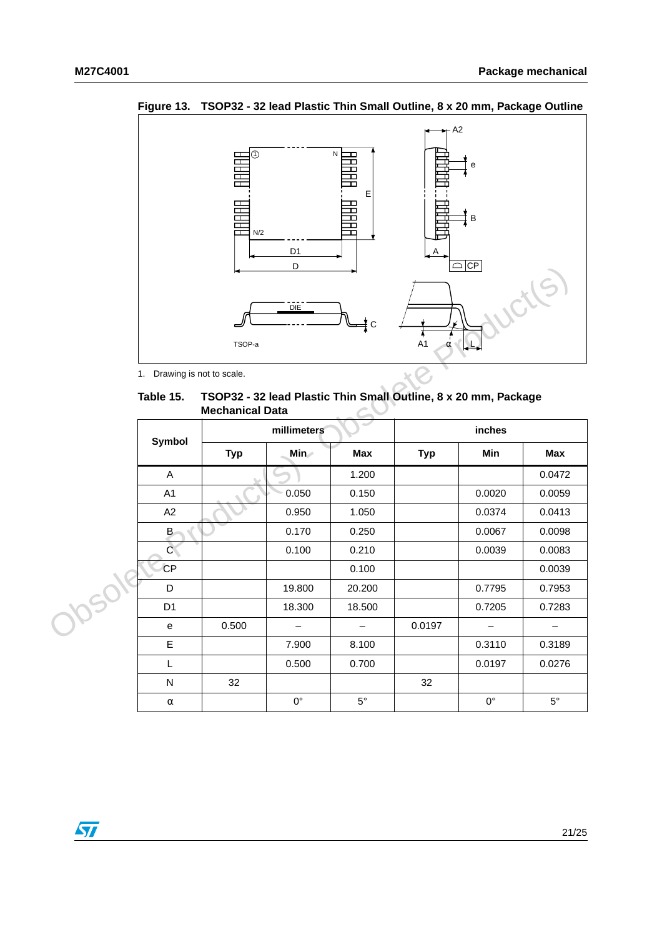

<span id="page-20-1"></span>**Figure 13. TSOP32 - 32 lead Plastic Thin Small Outline, 8 x 20 mm, Package Outline**

<span id="page-20-0"></span> **Table 15. TSOP32 - 32 lead Plastic Thin Small Outline, 8 x 20 mm, Package Mechanical Data**

|      |                                                                                                        |            | υ                 | $\cup$ $\cup$ $\cup$     |            |                          |                   |  |  |
|------|--------------------------------------------------------------------------------------------------------|------------|-------------------|--------------------------|------------|--------------------------|-------------------|--|--|
|      | <b>OUTS</b><br>DIE<br>¥с<br>A <sub>1</sub><br>TSOP-a<br>$\alpha$                                       |            |                   |                          |            |                          |                   |  |  |
|      | 1. Drawing is not to scale.                                                                            |            |                   |                          |            |                          |                   |  |  |
|      | TSOP32 - 32 lead Plastic Thin Small Outline, 8 x 20 mm, Package<br>Table 15.<br><b>Mechanical Data</b> |            |                   |                          |            |                          |                   |  |  |
|      | <b>Symbol</b>                                                                                          |            | millimeters       |                          | inches     |                          |                   |  |  |
|      |                                                                                                        | <b>Typ</b> | Min               | <b>Max</b>               | <b>Typ</b> | Min                      | <b>Max</b>        |  |  |
|      | A                                                                                                      |            |                   | 1.200                    |            |                          | 0.0472            |  |  |
|      | A1                                                                                                     |            | 0.050             | 0.150                    |            | 0.0020                   | 0.0059            |  |  |
|      | A2                                                                                                     |            | 0.950             | 1.050                    |            | 0.0374                   | 0.0413            |  |  |
|      | B                                                                                                      |            | 0.170             | 0.250                    |            | 0.0067                   | 0.0098            |  |  |
|      | $\overline{C}$                                                                                         |            | 0.100             | 0.210                    |            | 0.0039                   | 0.0083            |  |  |
|      | <b>CP</b>                                                                                              |            |                   | 0.100                    |            |                          | 0.0039            |  |  |
| 1050 | D                                                                                                      |            | 19.800            | 20.200                   |            | 0.7795                   | 0.7953            |  |  |
|      | D <sub>1</sub>                                                                                         |            | 18.300            | 18.500                   |            | 0.7205                   | 0.7283            |  |  |
|      | e                                                                                                      | 0.500      | $\qquad \qquad -$ | $\overline{\phantom{0}}$ | 0.0197     | $\overline{\phantom{m}}$ | $\qquad \qquad -$ |  |  |
|      | E                                                                                                      |            | 7.900             | 8.100                    |            | 0.3110                   | 0.3189            |  |  |
|      | Г                                                                                                      |            | 0.500             | 0.700                    |            | 0.0197                   | 0.0276            |  |  |
|      | ${\sf N}$                                                                                              | 32         |                   |                          | 32         |                          |                   |  |  |
|      | $\alpha$                                                                                               |            | $0^{\circ}$       | $5^{\circ}$              |            | $0^{\circ}$              | $5^{\circ}$       |  |  |

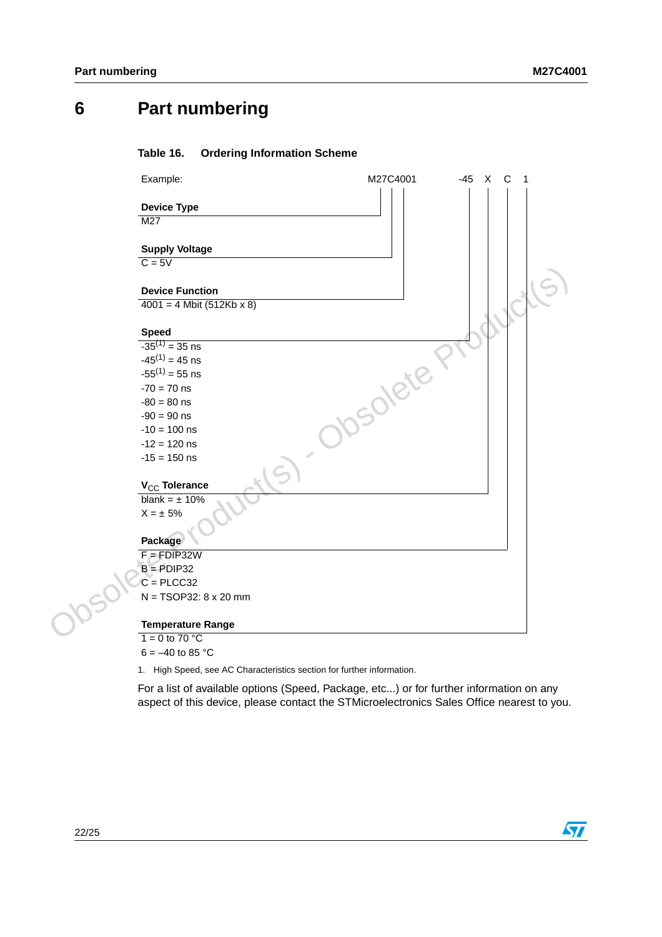## <span id="page-21-0"></span>**6 Part numbering**

#### <span id="page-21-1"></span>Table 16. **Ordering Information Scheme**



 $6 = -40$  to 85 °C

<span id="page-21-2"></span>1. High Speed, see AC Characteristics section for further information.

For a list of available options (Speed, Package, etc...) or for further information on any aspect of this device, please contact the STMicroelectronics Sales Office nearest to you.

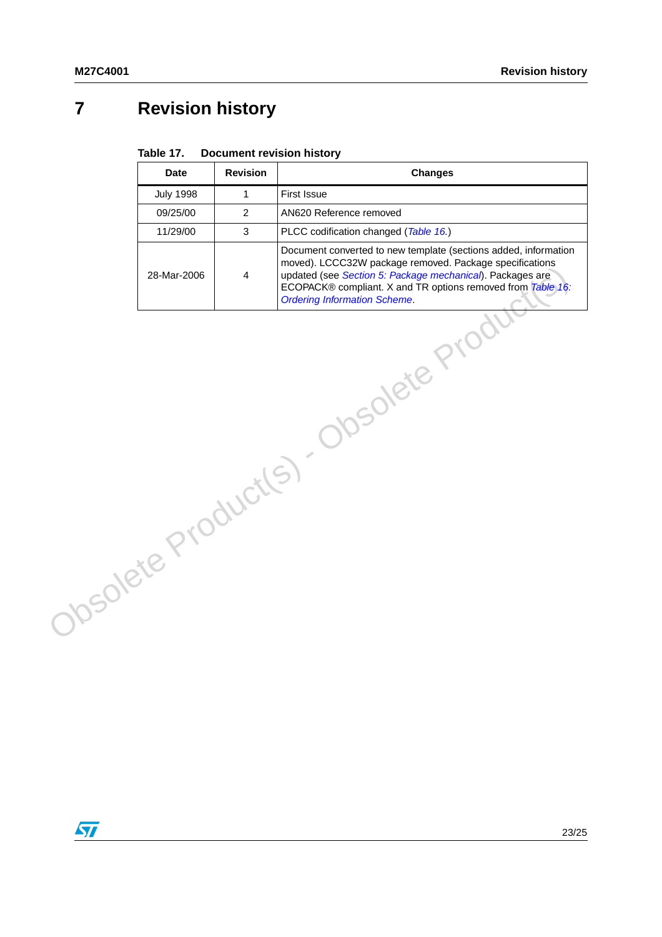# <span id="page-22-0"></span>**7 Revision history**

#### <span id="page-22-1"></span>Table 17. **Document revision history**

| <b>Date</b>      | <b>Revision</b> | <b>Changes</b>                                                                                                                                                                                                                                                                                |
|------------------|-----------------|-----------------------------------------------------------------------------------------------------------------------------------------------------------------------------------------------------------------------------------------------------------------------------------------------|
| <b>July 1998</b> | $\mathbf{1}$    | First Issue                                                                                                                                                                                                                                                                                   |
| 09/25/00         | 2               | AN620 Reference removed                                                                                                                                                                                                                                                                       |
| 11/29/00         | 3               | PLCC codification changed (Table 16.)                                                                                                                                                                                                                                                         |
| 28-Mar-2006      | 4               | Document converted to new template (sections added, information<br>moved). LCCC32W package removed. Package specifications<br>updated (see Section 5: Package mechanical). Packages are<br>ECOPACK® compliant. X and TR options removed from Table 16:<br><b>Ordering Information Scheme.</b> |
|                  |                 | Obsolete Product(S) Obsolete Proc                                                                                                                                                                                                                                                             |